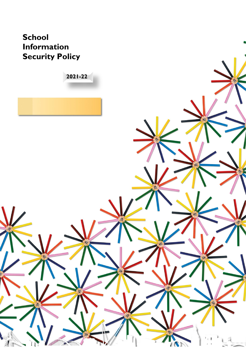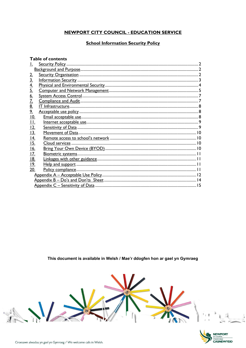# **NEWPORT CITY COUNCIL - EDUCATION SERVICE**

# **School Information Security Policy**

| <b>Table of contents</b> |  |  |  |  |  |
|--------------------------|--|--|--|--|--|
|                          |  |  |  |  |  |
|                          |  |  |  |  |  |
| <u>2.</u>                |  |  |  |  |  |
| <u>3.</u>                |  |  |  |  |  |
| <u>4.</u>                |  |  |  |  |  |
| 5.                       |  |  |  |  |  |
| 6.                       |  |  |  |  |  |
| <u>7.</u>                |  |  |  |  |  |
| <u>8.</u>                |  |  |  |  |  |
| 9 <sub>1</sub>           |  |  |  |  |  |
| 10.                      |  |  |  |  |  |
| <u>II.</u>               |  |  |  |  |  |
| 12.                      |  |  |  |  |  |
| 13.                      |  |  |  |  |  |
| 4.                       |  |  |  |  |  |
| 15.                      |  |  |  |  |  |
| 16.                      |  |  |  |  |  |
| <u>17.</u>               |  |  |  |  |  |
| 18.                      |  |  |  |  |  |
| <u>19.</u>               |  |  |  |  |  |
| 20.                      |  |  |  |  |  |
|                          |  |  |  |  |  |
|                          |  |  |  |  |  |
|                          |  |  |  |  |  |

This document is available in Welsh / Mae'r ddogfen hon ar gael yn Gymraeg



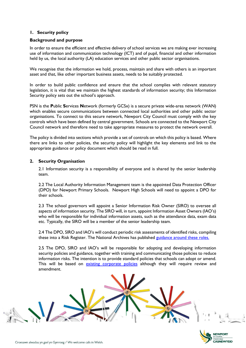### <span id="page-2-0"></span>**1. Security policy**

#### <span id="page-2-1"></span>**Background and purpose**

In order to ensure the efficient and effective delivery of school services we are making ever increasing use of information and communication technology (ICT) and of pupil, financial and other information held by us, the local authority (LA) education services and other public sector organisations.

We recognise that the information we hold, process, maintain and share with others is an important asset and that, like other important business assets, needs to be suitably protected.

In order to build public confidence and ensure that the school complies with relevant statutory legislation, it is vital that we maintain the highest standards of information security; this Information Security policy sets out the school's approach.

PSN is the **P**ublic **S**ervices **N**etwork (formerly GCSx) is a secure private wide-area network (WAN) which enables secure communications between connected local authorities and other public sector organisations. To connect to this secure network, Newport City Council must comply with the key controls which have been defined by central government. Schools are connected to the Newport City Council network and therefore need to take appropriate measures to protect the network overall.

The policy is divided into sections which provide a set of controls on which this policy is based. Where there are links to other policies, the security policy will highlight the key elements and link to the appropriate guidance or policy document which should be read in full.

### <span id="page-2-2"></span>**2. Security Organisation**

2.1 Information security is a responsibility of everyone and is shared by the senior leadership team.

2.2 The Local Authority Information Management team is the appointed Data Protection Officer (DPO) for Newport Primary Schools. Newport High Schools will need to appoint a DPO for their schools.

2.3 The school governors will appoint a Senior Information Risk Owner (SIRO) to oversee all aspects of information security. The SIRO will, in turn, appoint Information Asset Owners (IAO's) who will be responsible for individual information assets, such as the attendance data, exam data etc. Typically, the SIRO will be a member of the senior leadership team.

2.4 The DPO, SIRO and IAO's will conduct periodic risk assessments of identified risks, compiling these into a Risk Register. The National Archives has published [guidance around these roles.](http://www.nationalarchives.gov.uk/documents/information-management/iao-and-digital-continuity.pdf)

2.5 The DPO, SIRO and IAO's will be responsible for adopting and developing information security policies and guidance, together with training and communicating those policies to reduce information risks. The intention is to provide standard policies that schools can adopt or amend. This will be based on [existing corporate policies](https://intranet.corporate.newport/sites/live/Shared%20Documents/Forms/Information%20Management%20Policies.aspx) although they will require review and amendment.

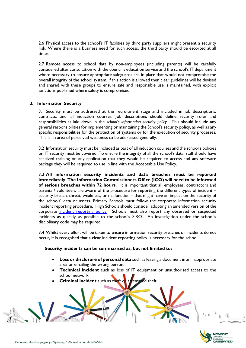2.6 Physical access to the school's IT facilities by third party suppliers might present a security risk. Where there is a business need for such access, the third party should be escorted at all times.

2.7 Remote access to school data by non-employees (including parents) will be carefully considered after consultation with the council's education service and the school's IT department where necessary to ensure appropriate safeguards are in place that would not compromise the overall integrity of the school system. If this action is allowed then clear guidelines will be devised and shared with these groups to ensure safe and responsible use is maintained, with explicit sanctions published where safety is compromised.

### <span id="page-3-0"></span>**3. Information Security**

3.1 Security must be addressed at the recruitment stage and included in job descriptions, contracts, and all induction courses. Job descriptions should define security roles and responsibilities as laid down in the *school's information security policy*. This should include any general responsibilities for implementing or maintaining the School's security policy, as well as any specific responsibilities for the protection of systems or for the execution of security processes. This is an area of perceived weakness to be addressed generally.

3.2 Information security must be included as part of all induction courses and the school's policies on IT security must be covered. To ensure the integrity of all the school's data, staff should have received training on any application that they would be required to access and any software package they will be required to use in line with the Acceptable Use Policy.

3.3 **All information security incidents and data breaches must be reported immediately**. **The Information Commissioners Office (ICO) will need to be informed of serious breaches within 72 hours.** It is important that all employees, contractors and parents / volunteers are aware of the procedure for reporting the different types of incident – security breach, threat, weakness, or malfunction – that might have an impact on the security of the schools' data or assets. Primary Schools must follow the corporate information security incident reporting procedure. High Schools should consider adopting an amended version of the corporate [incident reporting policy.](https://intranet.corporate.newport/sites/live/Shared%20Documents/Information_Security_Incident_Reporting_Policy.pdf) Schools must also report any observed or suspected incidents as quickly as possible to the school's SIRO. An investigation under the school's disciplinary code may be required.

3.4 Whilst every effort will be taken to ensure information security breaches or incidents do not occur, it is recognised that a clear incident reporting policy is necessary for the school.

#### **Security incidents can be summarised as, but not limited to:**

- **Loss or disclosure of personal data** such as leaving a document in an inappropriate area or emailing the wrong person.
- **Technical incident** such as loss of IT equipment or unauthorised access to the school network
- **Criminal incident** such as theft or attempted theft

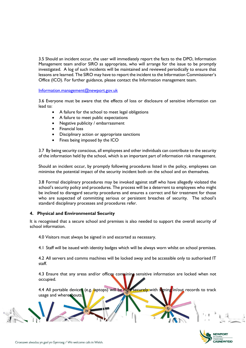3.5 Should an incident occur, the user will immediately report the facts to the DPO, Information Management team and/or SIRO as appropriate, who will arrange for the issue to be promptly investigated. A log of such incidents will be maintained and reviewed periodically to ensure that lessons are learned. The SIRO may have to report the incident to the Information Commissioner's Office (ICO). For further guidance, please contact the Information management team.

[Information.management@newport.gov.uk](mailto:Information.management@newport.gov.uk)

3.6 Everyone must be aware that the effects of loss or disclosure of sensitive information can lead to:

- A failure for the school to meet legal obligations
- A failure to meet public expectations
- Negative publicity / embarrassment
- Financial loss
- Disciplinary action or appropriate sanctions
- Fines being imposed by the ICO

3.7 By being security conscious, all employees and other individuals can contribute to the security of the information held by the school, which is an important part of information risk management.

Should an incident occur, by promptly following procedures listed in the policy, employees can minimise the potential impact of the security incident both on the school and on themselves.

3.8 Formal disciplinary procedures may be invoked against staff who have allegedly violated the school's security policy and procedures. The process will be a deterrent to employees who might be inclined to disregard security procedures and ensures a correct and fair treatment for those who are suspected of committing serious or persistent breaches of security. The school's standard disciplinary processes and procedures refer.

#### <span id="page-4-0"></span>**4. Physical and Environmental Security**

It is recognised that a secure school and premises is also needed to support the overall security of school information.

4.0 Visitors must always be signed in and escorted as necessary.

4.1 Staff will be issued with identity badges which will be always worn whilst on school premises.

4.2 All servers and comms machines will be locked away and be accessible only to authorised IT staff.

4.3 Ensure that any areas and/or offices containing sensitive information are locked when not occupied.

4.4 All portable devices (e.g. laptops) will be held securely with signing in/out records to track usage and whereabouts.

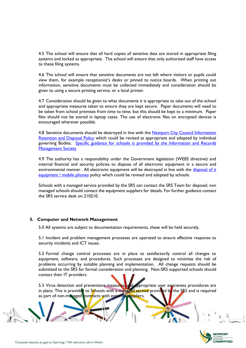4.5 The school will ensure that all hard copies of sensitive data are stored in appropriate filing systems and locked as appropriate. The school will ensure that only authorised staff have access to these filing systems.

4.6 The school will ensure that sensitive documents are not left where visitors or pupils could view them, for example receptionist's desks or pinned to notice boards. When printing out information, sensitive documents must be collected immediately and consideration should be given to using a secure printing service, or a local printer.

4.7 Consideration should be given to what documents it is appropriate to take out of the school and appropriate measures taken to ensure they are kept secure. Paper documents will need to be taken from school premises from time to time, but this should be kept to a minimum. Paper files should not be stored in laptop cases. The use of electronic files on encrypted devices is encouraged wherever possible.

4.8 Sensitive documents should be destroyed in line with the Newport City Council Information [Retention and Disposal Policy](https://intranet.corporate.newport/sites/live/Shared%20Documents/Information_Retention_and_Disposal_Policy.pdf#search=retention) which could be revised as appropriate and adopted by individual governing Bodies. [Specific guidance for schools is provided by the Information and Records](https://irms.org.uk/page/SchoolsToolkit)  **Management Society** 

4.9 The authority has a responsibility under the Government legislation (WEEE directive) and internal financial and security policies to dispose of all electronic equipment in a secure and environmental manner. All electronic equipment will be destroyed in line with the disposal of it [equipment / mobile phones](https://intranet.corporate.newport/sites/live/Shared%20Documents/Disposal_of_IT_Equipment%20_Policy.pdf#search=IT%20disposal) policy which could be revised and adopted by schools.

Schools with a managed service provided by the SRS can contact the SRS Team for disposal; non managed schools should contact the equipment suppliers for details. For further guidance contact the SRS service desk on 210210.

#### <span id="page-5-0"></span>**5. Computer and Network Management**

5.0 All systems are subject to documentation requirements, these will be held securely.

5.1 Incident and problem management processes are operated to ensure effective response to security incidents and ICT issues.

5.2 Formal change control processes are in place to satisfactorily control all changes to equipment, software, and procedures. Such processes are designed to minimise the risk of problems occurring by suitable planning and implementation. All change requests should be submitted to the SRS for formal consideration and planning. Non-SRS supported schools should contact their IT providers.

5.3 Virus detection and preventions measures, and appropriate user awareness procedures are in place. This is provided to Schools with a managed service provided by the SRS and is required as part of non-managed contracts with external suppliers.

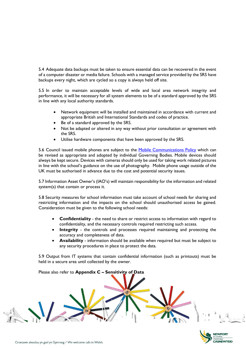5.4 Adequate data backups must be taken to ensure essential data can be recovered in the event of a computer disaster or media failure. Schools with a managed service provided by the SRS have backups every night, which are cycled so a copy is always held off site.

5.5 In order to maintain acceptable levels of wide and local area network integrity and performance, it will be necessary for all system elements to be of a standard approved by the SRS in line with any local authority standards.

- Network equipment will be installed and maintained in accordance with current and appropriate British and International Standards and codes of practice.
- Be of a standard approved by the SRS.
- Not be adapted or altered in any way without prior consultation or agreement with the SRS.
- Utilise hardware components that have been approved by the SRS.

5.6 Council issued mobile phones are subject to the [Mobile Communications Policy](https://intranet.corporate.newport/sites/live/Shared%20Documents/Mobile_Communications_Policy.pdf) which can be revised as appropriate and adopted by individual Governing Bodies. Mobile devices should always be kept secure. Devices with cameras should only be used for taking work related pictures in line with the school's guidance on the use of photography. Mobile phone usage outside of the UK must be authorised in advance due to the cost and potential security issues.

5.7 Information Asset Owner's (IAO's) will maintain responsibility for the information and related system(s) that contain or process it.

5.8 Security measures for school information must take account of school needs for sharing and restricting information and the impacts on the school should unauthorised access be gained. Consideration must be given to the following school needs:

- **Confidentiality** the need to share or restrict access to information with regard to confidentiality, and the necessary controls required restricting such access.
- **Integrity** the controls and processes required maintaining and protecting the accuracy and completeness of data.
- **Availability** information should be available when required but must be subject to any security procedures in place to protect the data.

5.9 Output from IT systems that contain confidential information (such as printouts) must be held in a secure area until collected by the owner.

# Please also refer to **Appendix C – Sensitivity of Data**

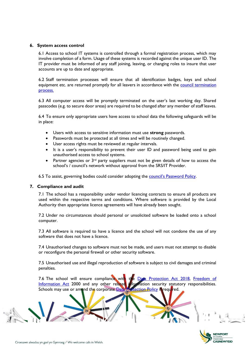#### <span id="page-7-0"></span>**6. System access control**

6.1 Access to school IT systems is controlled through a formal registration process, which may involve completion of a form. Usage of these systems is recorded against the unique user ID. The IT provider must be informed of any staff joining, leaving, or changing roles to insure that user accounts are up to date and appropriate.

6.2 Staff termination processes will ensure that all identification badges, keys and school equipment etc. are returned promptly for all leavers in accordance with the **council termination** [process.](https://www.newport.gov.uk/documents/Policies/HR-Termination-of-Appointment-Form-Completion-and-Process-Guidance.pdf) 

6.3 All computer access will be promptly terminated on the user's last working day. Shared passcodes (e.g. to secure door areas) are required to be changed after any member of staff leaves.

6.4 To ensure only appropriate users have access to school data the following safeguards will be in place:

- Users with access to sensitive information must use **strong** passwords.
- Passwords must be protected at all times and will be routinely changed.
- User access rights must be reviewed at regular intervals.
- It is a user's responsibility to prevent their user ID and password being used to gain unauthorised access to school systems.
- Partner agencies or  $3<sup>rd</sup>$  party suppliers must not be given details of how to access the school's / council's network without approval from the SRS/IT Provider.

6.5 To assist, governing bodies could consider adopting the [council's Password Policy](https://intranet.corporate.newport/sites/live/Shared%20Documents/Password_Policy.pdf).

#### <span id="page-7-1"></span>**7. Compliance and audit**

7.1 The school has a responsibility under vendor licencing contracts to ensure all products are used within the respective terms and conditions. Where software is provided by the Local Authority then appropriate licence agreements will have already been sought.

7.2 Under no circumstances should personal or unsolicited software be loaded onto a school computer.

7.3 All software is required to have a licence and the school will not condone the use of any software that does not have a licence.

7.4 Unauthorised changes to software must not be made, and users must not attempt to disable or reconfigure the personal firewall or other security software.

7.5 Unauthorised use and illegal reproduction of software is subject to civil damages and criminal penalties.

7.6 The school will ensure compliance with the Data [Protection](https://ico.org.uk/for-organisations/guide-to-data-protection/) Act 2018, Freedom of [Information Act](https://ico.org.uk/for-organisations/guide-to-freedom-of-information/what-is-the-foi-act/) 2000 and any other related information security statutory responsibilities.<br>Schools may use or amend the corporate Data Protection Policy in required. Schools may use or amend the corporate [Data Protection Policy](https://intranet.corporate.newport/sites/live/GDPR/Data%20Protection%20Policy.pdf) is required.

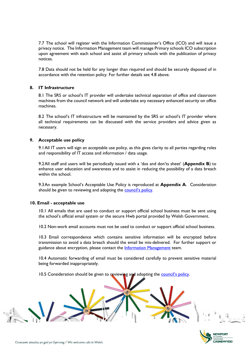7.7 The school will register with the Information Commissioner's Office (ICO) and will issue a privacy notice. The Information Management team will manage Primary schools ICO subscription upon agreement with each school and assist all primary schools with the publication of privacy notices.

7.8 Data should not be held for any longer than required and should be securely disposed of in accordance with the retention policy. For further details see 4.8 above.

### <span id="page-8-0"></span>**8. IT Infrastructure**

8.1 The SRS or school's IT provider will undertake technical separation of office and classroom machines from the council network and will undertake any necessary enhanced security on office machines.

8.2 The school's IT infrastructure will be maintained by the SRS or school's IT provider where all technical requirements can be discussed with the service providers and advice given as necessary.

### <span id="page-8-1"></span>**9. Acceptable use policy**

9.1All IT users will sign an acceptable use policy, as this gives clarity to all parties regarding roles and responsibility of IT access and information / data usage.

9.2All staff and users will be periodically issued with a 'dos and don'ts sheet' (**Appendix B**) to enhance user education and awareness and to assist in reducing the possibility of a data breach within the school.

9.3An example School's Acceptable Use Policy is reproduced at **Appendix A**. Consideration should be given to reviewing and adopting the [council's policy](https://intranet.corporate.newport/sites/live/Shared%20Documents/Access_to_Network_and_Email_Policy.pdf).

#### <span id="page-8-2"></span>**10. Email - acceptable use**

10.1 All emails that are used to conduct or support official school business must be sent using the school's official email system or the secure Hwb portal provided by Welsh Government.

10.2 Non-work email accounts must not be used to conduct or support official school business.

10.3 Email correspondence which contains sensitive information will be encrypted before transmission to avoid a data breach should the email be mis-delivered. For further support or guidance about encryption, please contact the [Information Management](mailto:information.management@newport.gov.uk) team.

10.4 Automatic forwarding of email must be considered carefully to prevent sensitive material being forwarded inappropriately.

10.5 Consideration should be given to reviewing and adopting the [council's policy](https://intranet.corporate.newport/sites/live/Shared%20Documents/Access_to_Network_and_Email_Policy.pdf).

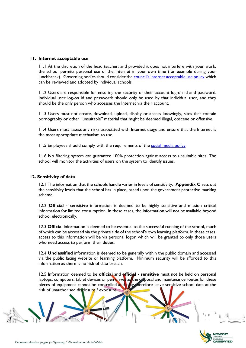#### <span id="page-9-0"></span>**11. Internet acceptable use**

11.1 At the discretion of the head teacher, and provided it does not interfere with your work, the school permits personal use of the Internet in your own time (for example during your lunchbreak). Governing bodies should consider the **[council's internet acceptable use policy](https://intranet.corporate.newport/sites/live/Shared%20Documents/Internet_Acceptable_Use_Policy.pdf)** which can be reviewed and adopted by individual schools.

11.2 Users are responsible for ensuring the security of their account log-on id and password. Individual user log-on id and passwords should only be used by that individual user, and they should be the only person who accesses the Internet via their account.

11.3 Users must not create, download, upload, display or access knowingly, sites that contain pornography or other "unsuitable" material that might be deemed illegal, obscene or offensive.

11.4 Users must assess any risks associated with Internet usage and ensure that the Internet is the most appropriate mechanism to use.

11.5 Employees should comply with the requirements of the [social media policy.](https://intranet.corporate.newport/sites/live/Shared%20Documents/Social%20media%20policy.pdf#search=social%20media)

11.6 No filtering system can guarantee 100% protection against access to unsuitable sites. The school will monitor the activities of users on the system to identify issues.

#### <span id="page-9-1"></span>**12. Sensitivity of data**

12.1 The information that the schools handle varies in levels of sensitivity. **Appendix C** sets out the sensitivity levels that the school has in place, based upon the government protective marking scheme.

12.2 **Official - sensitive** information is deemed to be highly sensitive and mission critical information for limited consumption. In these cases, the information will not be available beyond school electronically.

12.3 **Official** information is deemed to be essential to the successful running of the school, much of which can be accessed via the private side of the school's own learning platform. In these cases, access to this information will be via personal logon which will be granted to only those users who need access to perform their duties.

12.4 **Unclassified** information is deemed to be generally within the public domain and accessed via the public facing website or learning platform. Minimum security will be afforded to this information as there is no risk of data breach.

12.5 Information deemed to be **official** and **official - sensitive** must not be held on personal laptops, computers, tablet devices or pen drives as the disposal and maintenance routes for these pieces of equipment cannot be controlled and may therefore leave sensitive school data at the risk of unauthorised disclosure / exposure.

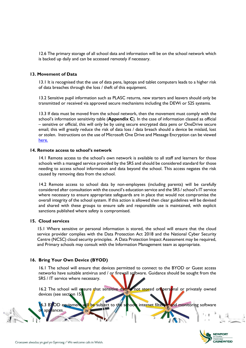12.6 The primary storage of all school data and information will be on the school network which is backed up daily and can be accessed remotely if necessary.

#### <span id="page-10-0"></span>**13. Movement of Data**

13.1 It is recognised that the use of data pens, laptops and tablet computers leads to a higher risk of data breaches through the loss / theft of this equipment.

13.2 Sensitive pupil information such as PLASC returns, new starters and leavers should only be transmitted or received via approved secure mechanisms including the DEWi or S2S systems.

13.3 If data must be moved from the school network, then the movement must comply with the school's information sensitivity table (**Appendix C**). In the case of information classed as official – sensitive or official, this will only be by using secure encrypted data pens or OneDrive secure email; this will greatly reduce the risk of data loss / data breach should a device be mislaid, lost or stolen. Instructions on the use of Microsoft One Drive and Message Encryption can be viewed [here.](https://intranet.corporate.newport/sites/live/im-intranet-egress)

#### <span id="page-10-1"></span>**14. Remote access to school's network**

14.1 Remote access to the school's own network is available to all staff and learners for those schools with a managed service provided by the SRS and should be considered standard for those needing to access school information and data beyond the school. This access negates the risk caused by removing data from the school.

14.2 Remote access to school data by non-employees (including parents) will be carefully considered after consultation with the council's education service and the SRS / school's IT service where necessary to ensure appropriate safeguards are in place that would not compromise the overall integrity of the school system. If this action is allowed then clear guidelines will be devised and shared with these groups to ensure safe and responsible use is maintained, with explicit sanctions published where safety is compromised.

#### <span id="page-10-2"></span>**15. Cloud services**

15.1 Where sensitive or personal information is stored, the school will ensure that the cloud service provider complies with the Data Protection Act 2018 and the National Cyber Security Centre (NCSC) cloud security principles. A Data Protection Impact Assessment may be required, and Primary schools may consult with the Information Management team as appropriate.

#### **16. Bring Your Own Device (BYOD)**

16.1 The school will ensure that devices permitted to connect to the BYOD or Guest access networks have suitable antivirus and / or firewall software. Guidance should be sought from the SRS / IT service where necessary.

16.2 The school will ensure that sensitive data is not stored on personal or privately owned devices (see section 15)

16.3 BYOD equipment will be subject to the schools internet filtering and monitoring software

<span id="page-10-3"></span>

iances.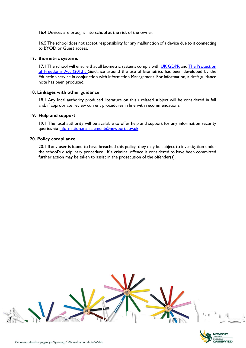16.4 Devices are brought into school at the risk of the owner.

16.5 The school does not accept responsibility for any malfunction of a device due to it connecting to BYOD or Guest access.

#### <span id="page-11-0"></span>**17. Biometric systems**

17.1 The school will ensure that all biometric systems comply with [UK GDPR](https://ico.org.uk/for-organisations/guide-to-data-protection/guide-to-the-general-data-protection-regulation-gdpr/special-category-data/what-is-special-category-data/) and The Protection [of Freedoms Act \(2012\).](https://gov.wales/protection-biometric-information-guidance-schools-and-further-education-institutions) Guidance around the use of Biometrics has been developed by the Education service in conjunction with Information Management. For information, a draft guidance note has been produced.

#### <span id="page-11-1"></span>**18. Linkages with other guidance**

18.1 Any local authority produced literature on this / related subject will be considered in full and, if appropriate review current procedures in line with recommendations.

#### <span id="page-11-2"></span>**19. Help and support**

19.1 The local authority will be available to offer help and support for any information security queries via [information.management@newport.gov.uk](mailto:information.management@newport.gov.uk)

#### <span id="page-11-3"></span>**20. Policy compliance**

20.1 If any user is found to have breached this policy, they may be subject to investigation under the school's disciplinary procedure. If a criminal offence is considered to have been committed further action may be taken to assist in the prosecution of the offender(s).



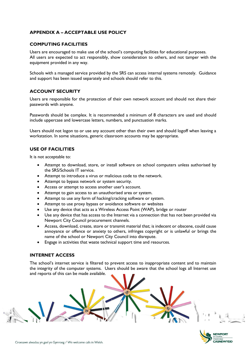# <span id="page-12-0"></span>**APPENDIX A – ACCEPTABLE USE POLICY**

### **COMPUTING FACILITIES**

Users are encouraged to make use of the school's computing facilities for educational purposes. All users are expected to act responsibly, show consideration to others, and not tamper with the equipment provided in any way.

Schools with a managed service provided by the SRS can access internal systems remotely. Guidance and support has been issued separately and schools should refer to this.

### **ACCOUNT SECURITY**

Users are responsible for the protection of their own network account and should not share their passwords with anyone.

Passwords should be complex. It is recommended a minimum of 8 characters are used and should include uppercase and lowercase letters, numbers, and punctuation marks.

Users should not logon to or use any account other than their own and should logoff when leaving a workstation. In some situations, generic classroom accounts may be appropriate.

### **USE OF FACILITIES**

It is not acceptable to:

- Attempt to download, store, or install software on school computers unless authorised by the SRS/Schools IT service.
- Attempt to introduce a virus or malicious code to the network.
- Attempt to bypass network or system security.
- Access or attempt to access another user's account.
- Attempt to gain access to an unauthorised area or system.
- Attempt to use any form of hacking/cracking software or system.
- Attempt to use proxy bypass or avoidance software or websites
- Use any device that acts as a Wireless Access Point (WAP), bridge or router
- Use any device that has access to the Internet via a connection that has not been provided via Newport City Council procurement channels.
- Access, download, create, store or transmit material that; is indecent or obscene, could cause annoyance or offence or anxiety to others, infringes copyright or is unlawful or brings the name of the school or Newport City Council into disrepute.
- Engage in activities that waste technical support time and resources.

#### **INTERNET ACCESS**

The school's internet service is filtered to prevent access to inappropriate content and to maintain the integrity of the computer systems. Users should be aware that the school logs all Internet use and reports of this can be made available.

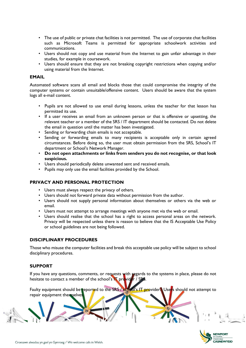- The use of public or private chat facilities is not permitted. The use of corporate chat facilities such as Microsoft Teams is permitted for appropriate schoolwork activities and communications.
- Users should not copy and use material from the Internet to gain unfair advantage in their studies, for example in coursework.
- Users should ensure that they are not breaking copyright restrictions when copying and/or using material from the Internet.

#### **EMAIL**

Automated software scans all email and blocks those that could compromise the integrity of the computer systems or contain unsuitable/offensive content. Users should be aware that the system logs all e-mail content.

- Pupils are not allowed to use email during lessons, unless the teacher for that lesson has permitted its use.
- If a user receives an email from an unknown person or that is offensive or upsetting, the relevant teacher or a member of the SRS / IT department should be contacted. Do not delete the email in question until the matter has been investigated.
- Sending or forwarding chain emails is not acceptable.
- Sending or forwarding emails to many recipients is acceptable only in certain agreed circumstances. Before doing so, the user must obtain permission from the SRS, School's IT department or School's Network Manager.
- **Do not open attachments or links from senders you do not recognise, or that look suspicious.**
- Users should periodically delete unwanted sent and received emails.
- Pupils may only use the email facilities provided by the School.

# **PRIVACY AND PERSONAL PROTECTION**

- Users must always respect the privacy of others.
- Users should not forward private data without permission from the author.
- Users should not supply personal information about themselves or others via the web or email.
- Users must not attempt to arrange meetings with anyone met via the web or email.
- Users should realise that the school has a right to access personal areas on the network. Privacy will be respected unless there is reason to believe that the IS Acceptable Use Policy or school guidelines are not being followed.

# **DISCIPLINARY PROCEDURES**

Those who misuse the computer facilities and break this acceptable use policy will be subject to school disciplinary procedures.

# **SUPPORT**

If you have any questions, comments, or requests with regards to the systems in place, please do not hesitate to contact a member of the school's IT provider / SRS.

Faulty equipment should be reported to the SRS / school's IT provider. Users should not attempt to repair equipment themselves

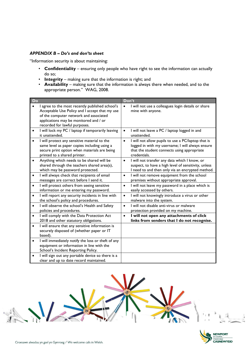### <span id="page-14-0"></span>*APPENDIX B – Do's and don'ts sheet*

"Information security is about maintaining:

- **Confidentiality** ensuring only people who have right to see the information can actually do so;
- **Integrity** making sure that the information is right; and
- **Availability** making sure that the information is always there when needed, and to the appropriate person." WAG, 2008.

| Do                                                                                                                                                                                                                     | Don't                                                                                                                                                                              |
|------------------------------------------------------------------------------------------------------------------------------------------------------------------------------------------------------------------------|------------------------------------------------------------------------------------------------------------------------------------------------------------------------------------|
| I agree to the most recently published school's<br>Acceptable Use Policy and I accept that my use<br>of the computer network and associated<br>applications may be monitored and / or<br>recorded for lawful purposes. | I will not use a colleagues login details or share<br>$\bullet$<br>mine with anyone.                                                                                               |
| I will lock my PC / laptop if temporarily leaving<br>$\bullet$<br>it unattended.                                                                                                                                       | I will not leave a PC / laptop logged in and<br>$\bullet$<br>unattended.                                                                                                           |
| I will protect any sensitive material to the<br>same level as paper copies including using a<br>secure print option when materials are being<br>printed to a shared printer.                                           | I will not allow pupils to use a PC/laptop that is<br>$\bullet$<br>logged in with my username; I will always ensure<br>that the student connects using appropriate<br>credentials. |
| Anything which needs to be shared will be<br>$\bullet$<br>shared through the teachers shared area(s),<br>which may be password protected.                                                                              | I will not transfer any data which I know, or<br>$\bullet$<br>suspect, to have a high level of sensitivity, unless<br>I need to and then only via an encrypted method.             |
| I will always check that recipients of email<br>$\bullet$<br>messages are correct before I send it.                                                                                                                    | I will not remove equipment from the school<br>$\bullet$<br>premises without appropriate approval.                                                                                 |
| I will protect others from seeing sensitive<br>$\bullet$<br>information or me entering my password.                                                                                                                    | I will not leave my password in a place which is<br>$\bullet$<br>easily accessed by others.                                                                                        |
| I will report any security incidents in line with<br>$\bullet$<br>the school's policy and procedures.                                                                                                                  | I will not knowingly introduce a virus or other<br>$\bullet$<br>malware into the system.                                                                                           |
| I will observe the school's Health and Safety<br>policies and procedures.                                                                                                                                              | I will not disable anti-virus or malware<br>$\bullet$<br>protection provided on my machine.                                                                                        |
| I will comply with the Data Protection Act<br>$\bullet$<br>2018 and other statutory obligations.                                                                                                                       | I will not open any attachments of click<br>$\bullet$<br>links from senders that I do not recognise.                                                                               |
| I will ensure that any sensitive information is<br>$\bullet$<br>securely disposed of (whether paper or IT<br>based).                                                                                                   |                                                                                                                                                                                    |
| I will immediately notify the loss or theft of any<br>$\bullet$<br>equipment or information in line with the<br>School's Incident Reporting Policy.                                                                    |                                                                                                                                                                                    |
| I will sign out any portable device so there is a<br>clear and up to date record maintained.                                                                                                                           |                                                                                                                                                                                    |



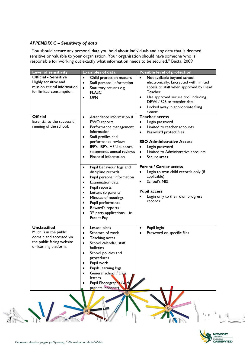# <span id="page-15-0"></span>*APPENDIX C – Sensitivity of data*

"You should secure any personal data you hold about individuals and any data that is deemed sensitive or valuable to your organisation. Your organisation should have someone who is responsible for working out exactly what information needs to be secured." Becta, 2009

| <b>Level of sensitivity</b>                                                                                                   | <b>Examples of data</b>                                                                                                                                                                                                                                                                                                                                                                                                                                                                                                                                                                                                                                                      | <b>Possible level of protection</b>                                                                                                                                                                                                                                                                                                                                                                                                                                                  |
|-------------------------------------------------------------------------------------------------------------------------------|------------------------------------------------------------------------------------------------------------------------------------------------------------------------------------------------------------------------------------------------------------------------------------------------------------------------------------------------------------------------------------------------------------------------------------------------------------------------------------------------------------------------------------------------------------------------------------------------------------------------------------------------------------------------------|--------------------------------------------------------------------------------------------------------------------------------------------------------------------------------------------------------------------------------------------------------------------------------------------------------------------------------------------------------------------------------------------------------------------------------------------------------------------------------------|
| <b>Official - Sensitive</b><br>Highly sensitive and<br>mission critical information<br>for limited consumption.               | $\bullet$<br>Child protection matters<br>Staff personal information<br>$\bullet$<br>Statutory returns e.g<br>$\bullet$<br><b>PLASC</b><br><b>UPN</b><br>$\bullet$                                                                                                                                                                                                                                                                                                                                                                                                                                                                                                            | Not available beyond school<br>$\bullet$<br>electronically. Encrypted with limited<br>access to staff when approved by Head<br>Teacher<br>Use approved secure tool including<br>$\bullet$<br>DEWi / S2S to transfer data<br>Locked away in appropriate filing<br>system                                                                                                                                                                                                              |
| <b>Official</b><br>Essential to the successful<br>running of the school.                                                      | Attendance information &<br>$\bullet$<br><b>EWO</b> reports<br>Performance management<br>$\bullet$<br>information<br>Staff profiles and<br>$\bullet$<br>performance reviews<br>IEP's, IBP's, AEN support,<br>$\bullet$<br>statements, annual reviews<br>Financial Information<br>$\bullet$<br>Pupil Behaviour logs and<br>$\bullet$<br>discipline records<br>Pupil personal information<br>$\bullet$<br>Examination data<br>$\bullet$<br>Pupil reports<br>$\bullet$<br>Letters to parents<br>$\bullet$<br>Minutes of meetings<br>$\bullet$<br>Pupil performance<br>$\bullet$<br>Reward's reports<br>$\bullet$<br>$3^{rd}$ party applications - ie<br>$\bullet$<br>Parent Pay | <b>Teacher access</b><br>Login password<br>$\bullet$<br>Limited to teacher accounts<br>$\bullet$<br>Password protect files<br>$\bullet$<br><b>SSO Administrative Access</b><br>Login password<br>$\bullet$<br>Limited to Administrative accounts<br>$\bullet$<br>Secure areas<br>$\bullet$<br><b>Parent / Career access</b><br>Login to own child records only (if<br>applicable)<br>School's MIS<br>$\bullet$<br><b>Pupil access</b><br>Login only to their own progress<br>records |
| <b>Unclassified</b><br>Much is in the public<br>domain and accessed via<br>the public facing website<br>or learning platform. | Lesson plans<br>$\bullet$<br>Schemes of work<br>$\bullet$<br>Teaching notes<br>$\bullet$<br>School calendar, staff<br>$\bullet$<br>bulletins<br>School policies and<br>$\bullet$<br>procedures<br>Pupil work<br>$\bullet$<br>Pupils learning logs<br>$\bullet$<br>General school / class<br>$\bullet$<br>letters<br>Pupil Photographs (with<br>$\bullet$<br>parental consent)                                                                                                                                                                                                                                                                                                | Pupil login<br>$\bullet$<br>Password on specific files<br>$\bullet$                                                                                                                                                                                                                                                                                                                                                                                                                  |